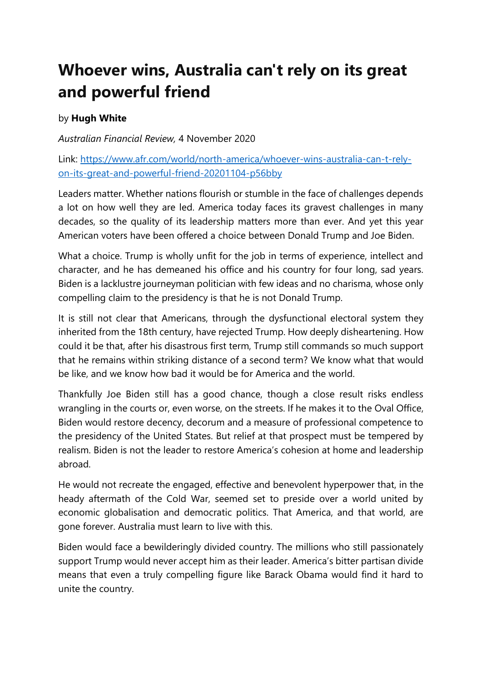## **Whoever wins, Australia can't rely on its great and powerful friend**

## by **Hugh White**

*Australian Financial Review,* 4 November 2020

Link: [https://www.afr.com/world/north-america/whoever-wins-australia-can-t-rely](https://www.afr.com/world/north-america/whoever-wins-australia-can-t-rely-on-its-great-and-powerful-friend-20201104-p56bby)[on-its-great-and-powerful-friend-20201104-p56bby](https://www.afr.com/world/north-america/whoever-wins-australia-can-t-rely-on-its-great-and-powerful-friend-20201104-p56bby)

Leaders matter. Whether nations flourish or stumble in the face of challenges depends a lot on how well they are led. America today faces its gravest challenges in many decades, so the quality of its leadership matters more than ever. And yet this year American voters have been offered a choice between Donald Trump and Joe Biden.

What a choice. Trump is wholly unfit for the job in terms of experience, intellect and character, and he has demeaned his office and his country for four long, sad years. Biden is a lacklustre journeyman politician with few ideas and no charisma, whose only compelling claim to the presidency is that he is not Donald Trump.

It is still not clear that Americans, through the dysfunctional electoral system they inherited from the 18th century, have rejected Trump. How deeply disheartening. How could it be that, after his disastrous first term, Trump still commands so much support that he remains within striking distance of a second term? We know what that would be like, and we know how bad it would be for America and the world.

Thankfully Joe Biden still has a good chance, though a close result risks endless wrangling in the courts or, even worse, on the streets. If he makes it to the Oval Office, Biden would restore decency, decorum and a measure of professional competence to the presidency of the United States. But relief at that prospect must be tempered by realism. Biden is not the leader to restore America's cohesion at home and leadership abroad.

He would not recreate the engaged, effective and benevolent hyperpower that, in the heady aftermath of the Cold War, seemed set to preside over a world united by economic globalisation and democratic politics. That America, and that world, are gone forever. Australia must learn to live with this.

Biden would face a bewilderingly divided country. The millions who still passionately support Trump would never accept him as their leader. America's bitter partisan divide means that even a truly compelling figure like Barack Obama would find it hard to unite the country.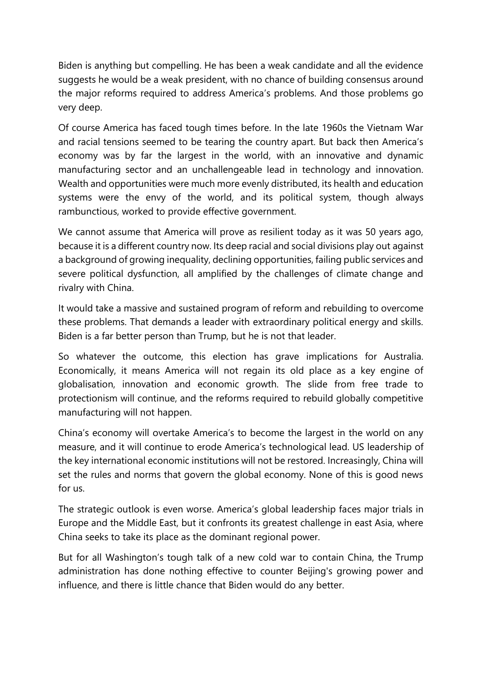Biden is anything but compelling. He has been a weak candidate and all the evidence suggests he would be a weak president, with no chance of building consensus around the major reforms required to address America's problems. And those problems go very deep.

Of course America has faced tough times before. In the late 1960s the Vietnam War and racial tensions seemed to be tearing the country apart. But back then America's economy was by far the largest in the world, with an innovative and dynamic manufacturing sector and an unchallengeable lead in technology and innovation. Wealth and opportunities were much more evenly distributed, its health and education systems were the envy of the world, and its political system, though always rambunctious, worked to provide effective government.

We cannot assume that America will prove as resilient today as it was 50 years ago, because it is a different country now. Its deep racial and social divisions play out against a background of growing inequality, declining opportunities, failing public services and severe political dysfunction, all amplified by the challenges of climate change and rivalry with China.

It would take a massive and sustained program of reform and rebuilding to overcome these problems. That demands a leader with extraordinary political energy and skills. Biden is a far better person than Trump, but he is not that leader.

So whatever the outcome, this election has grave implications for Australia. Economically, it means America will not regain its old place as a key engine of globalisation, innovation and economic growth. The slide from free trade to protectionism will continue, and the reforms required to rebuild globally competitive manufacturing will not happen.

China's economy will overtake America's to become the largest in the world on any measure, and it will continue to erode America's technological lead. US leadership of the key international economic institutions will not be restored. Increasingly, China will set the rules and norms that govern the global economy. None of this is good news for us.

The strategic outlook is even worse. America's global leadership faces major trials in Europe and the Middle East, but it confronts its greatest challenge in east Asia, where China seeks to take its place as the dominant regional power.

But for all Washington's tough talk of a new cold war to contain China, the Trump administration has done nothing effective to counter Beijing's growing power and influence, and there is little chance that Biden would do any better.